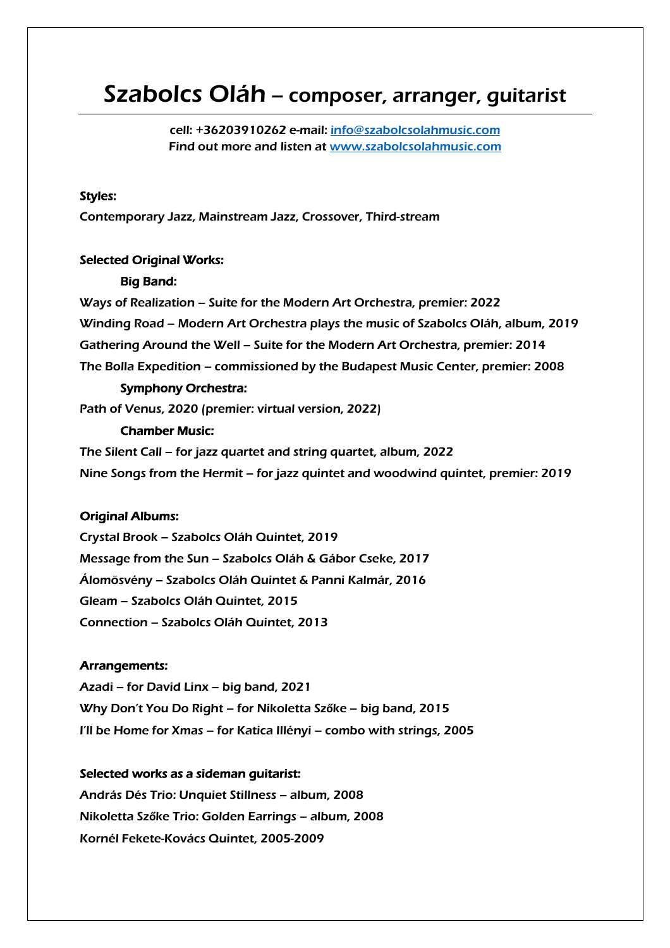# Szabolcs Oláh – composer, arranger, guitarist

cell: +36203910262 e-mail: info@szabolcsolahmusic.com Find out more and listen at www.szabolcsolahmusic.com

## Styles:

Contemporary Jazz, Mainstream Jazz, Crossover, Third-stream

## Selected Original Works:

#### Big Band:

Ways of Realization – Suite for the Modern Art Orchestra, premier: 2022 Winding Road – Modern Art Orchestra plays the music of Szabolcs Oláh, album, 2019 Gathering Around the Well – Suite for the Modern Art Orchestra, premier: 2014 The Bolla Expedition – commissioned by the Budapest Music Center, premier: 2008

#### Symphony Orchestra:

Path of Venus, 2020 (premier: virtual version, 2022)

## Chamber Music:

The Silent Call – for jazz quartet and string quartet, album, 2022 Nine Songs from the Hermit – for jazz quintet and woodwind quintet, premier: 2019

#### Original Albums:

Crystal Brook – Szabolcs Oláh Quintet, 2019 Message from the Sun – Szabolcs Oláh & Gábor Cseke, 2017 Álomösvény – Szabolcs Oláh Quintet & Panni Kalmár, 2016 Gleam – Szabolcs Oláh Quintet, 2015 Connection – Szabolcs Oláh Quintet, 2013

### Arrangements:

Azadi – for David Linx – big band, 2021 Why Don't You Do Right – for Nikoletta Sz**ő**ke – big band, 2015 I'll be Home for Xmas – for Katica Illényi – combo with strings, 2005

#### Selected works as a sideman guitarist:

András Dés Trio: Unquiet Stillness – album, 2008 Nikoletta Sz**ő**ke Trio: Golden Earrings – album, 2008 Kornél Fekete-Kovács Quintet, 2005-2009